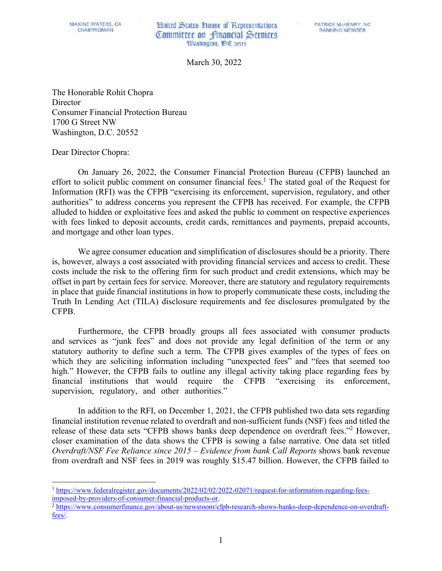## **Limited States Tionst of Representatives** Committee on financial Services Washington, DE 20515

March 30, 2022

The Honorable Rohit Chopra **Director** Consumer Financial Protection Bureau 1700 G Street NW Washington, D.C. 20552

Dear Director Chopra:

On January 26, 2022, the Consumer Financial Protection Bureau (CFPB) launched an effort to solicit public comment on consumer financial fees.<sup>[1](#page-0-0)</sup> The stated goal of the Request for Information (RFI) was the CFPB "exercising its enforcement, supervision, regulatory, and other authorities" to address concerns you represent the CFPB has received. For example, the CFPB alluded to hidden or exploitative fees and asked the public to comment on respective experiences with fees linked to deposit accounts, credit cards, remittances and payments, prepaid accounts, and mortgage and other loan types.

We agree consumer education and simplification of disclosures should be a priority. There is, however, always a cost associated with providing financial services and access to credit. These costs include the risk to the offering firm for such product and credit extensions, which may be offset in part by certain fees for service. Moreover, there are statutory and regulatory requirements in place that guide financial institutions in how to properly communicate these costs, including the Truth In Lending Act (TILA) disclosure requirements and fee disclosures promulgated by the CFPB.

Furthermore, the CFPB broadly groups all fees associated with consumer products and services as "junk fees" and does not provide any legal definition of the term or any statutory authority to define such a term. The CFPB gives examples of the types of fees on which they are soliciting information including "unexpected fees" and "fees that seemed too high." However, the CFPB fails to outline any illegal activity taking place regarding fees by financial institutions that would require the CFPB "exercising its enforcement, supervision, regulatory, and other authorities."

In addition to the RFI, on December 1, 2021, the CFPB published two data sets regarding financial institution revenue related to overdraft and non-sufficient funds (NSF) fees and titled the release of these data sets "CFPB shows banks deep dependence on overdraft fees."[2](#page-0-1) However, closer examination of the data shows the CFPB is sowing a false narrative. One data set titled *Overdraft/NSF Fee Reliance since 2015 – Evidence from bank Call Reports* shows bank revenue from overdraft and NSF fees in 2019 was roughly \$15.47 billion. However, the CFPB failed to

<span id="page-0-0"></span><sup>&</sup>lt;sup>1</sup> https://www.federalregister.gov/documents/2022/02/02/2022-02071/request-for-information-regarding-fees-<br>imposed-by-providers-of-consumer-financial-products-or.

<span id="page-0-1"></span> $\frac{2 \text{ https://www.consumerfinance.gov/about-us/newsroom/cfpb-research-shows-banks-deep-dependence-on-overraft-}$ [fees/.](https://www.consumerfinance.gov/about-us/newsroom/cfpb-research-shows-banks-deep-dependence-on-overdraft-fees/)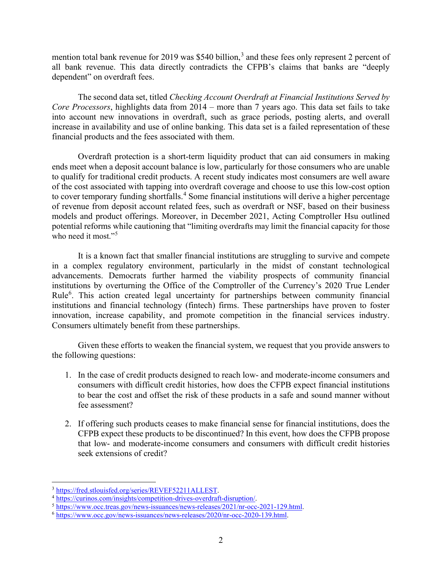mention total bank revenue for 2019 was \$540 billion,<sup>[3](#page-1-0)</sup> and these fees only represent 2 percent of all bank revenue. This data directly contradicts the CFPB's claims that banks are "deeply dependent" on overdraft fees.

The second data set, titled *Checking Account Overdraft at Financial Institutions Served by Core Processors*, highlights data from 2014 – more than 7 years ago. This data set fails to take into account new innovations in overdraft, such as grace periods, posting alerts, and overall increase in availability and use of online banking. This data set is a failed representation of these financial products and the fees associated with them.

Overdraft protection is a short-term liquidity product that can aid consumers in making ends meet when a deposit account balance is low, particularly for those consumers who are unable to qualify for traditional credit products. A recent study indicates most consumers are well aware of the cost associated with tapping into overdraft coverage and choose to use this low-cost option to cover temporary funding shortfalls.<sup>[4](#page-1-1)</sup> Some financial institutions will derive a higher percentage of revenue from deposit account related fees, such as overdraft or NSF, based on their business models and product offerings. Moreover, in December 2021, Acting Comptroller Hsu outlined potential reforms while cautioning that "limiting overdrafts may limit the financial capacity for those who need it most." $5$ 

It is a known fact that smaller financial institutions are struggling to survive and compete in a complex regulatory environment, particularly in the midst of constant technological advancements. Democrats further harmed the viability prospects of community financial institutions by overturning the Office of the Comptroller of the Currency's 2020 True Lender Rule<sup>[6](#page-1-3)</sup>. This action created legal uncertainty for partnerships between community financial institutions and financial technology (fintech) firms. These partnerships have proven to foster innovation, increase capability, and promote competition in the financial services industry. Consumers ultimately benefit from these partnerships.

Given these efforts to weaken the financial system, we request that you provide answers to the following questions:

- 1. In the case of credit products designed to reach low- and moderate-income consumers and consumers with difficult credit histories, how does the CFPB expect financial institutions to bear the cost and offset the risk of these products in a safe and sound manner without fee assessment?
- 2. If offering such products ceases to make financial sense for financial institutions, does the CFPB expect these products to be discontinued? In this event, how does the CFPB propose that low- and moderate-income consumers and consumers with difficult credit histories seek extensions of credit?

<span id="page-1-1"></span>

<span id="page-1-0"></span> $\frac{\frac{3 \text{ https://fred.stlouisfed.org/series/REVEF52211ALLEST}}{\frac{4 \text{ https://curinos.com/insights/competitive1.org/series/REVEF52211ALLEST}}}{\frac{5 \text{ https://curinos.com/insights/competitive1.org/series/REVEF52211ALLEST}}{5 \text{ https://www.occ.treas.gov/news-issuances/news-releases/2021/nr-occ-2021-129.html}}.$ 

<span id="page-1-3"></span><span id="page-1-2"></span>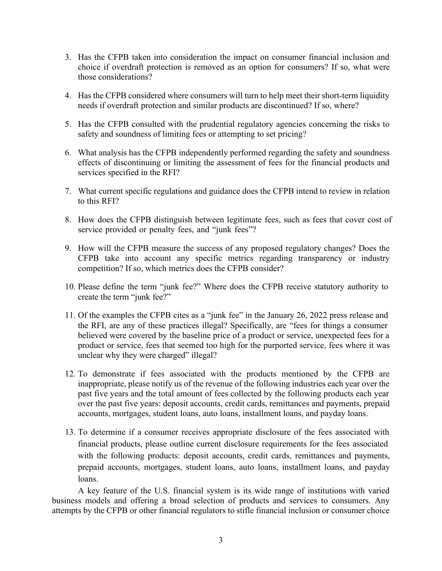- 3. Has the CFPB taken into consideration the impact on consumer financial inclusion and choice if overdraft protection is removed as an option for consumers? If so, what were those considerations?
- 4. Has the CFPB considered where consumers will turn to help meet their short-term liquidity needs if overdraft protection and similar products are discontinued? If so, where?
- 5. Has the CFPB consulted with the prudential regulatory agencies concerning the risks to safety and soundness of limiting fees or attempting to set pricing?
- 6. What analysis has the CFPB independently performed regarding the safety and soundness effects of discontinuing or limiting the assessment of fees for the financial products and services specified in the RFI?
- 7. What current specific regulations and guidance does the CFPB intend to review in relation to this RFI?
- 8. How does the CFPB distinguish between legitimate fees, such as fees that cover cost of service provided or penalty fees, and "junk fees"?
- 9. How will the CFPB measure the success of any proposed regulatory changes? Does the CFPB take into account any specific metrics regarding transparency or industry competition? If so, which metrics does the CFPB consider?
- 10. Please define the term "junk fee?" Where does the CFPB receive statutory authority to create the term "junk fee?"
- 11. Of the examples the CFPB cites as a "junk fee" in the January 26, 2022 press release and the RFI, are any of these practices illegal? Specifically, are "fees for things a consumer believed were covered by the baseline price of a product or service, unexpected fees for a product or service, fees that seemed too high for the purported service, fees where it was unclear why they were charged" illegal?
- 12. To demonstrate if fees associated with the products mentioned by the CFPB are inappropriate, please notify us of the revenue of the following industries each year over the past five years and the total amount of fees collected by the following products each year over the past five years: deposit accounts, credit cards, remittances and payments, prepaid accounts, mortgages, student loans, auto loans, installment loans, and payday loans.
- 13. To determine if a consumer receives appropriate disclosure of the fees associated with financial products, please outline current disclosure requirements for the fees associated with the following products: deposit accounts, credit cards, remittances and payments, prepaid accounts, mortgages, student loans, auto loans, installment loans, and payday loans.

A key feature of the U.S. financial system is its wide range of institutions with varied business models and offering a broad selection of products and services to consumers. Any attempts by the CFPB or other financial regulators to stifle financial inclusion or consumer choice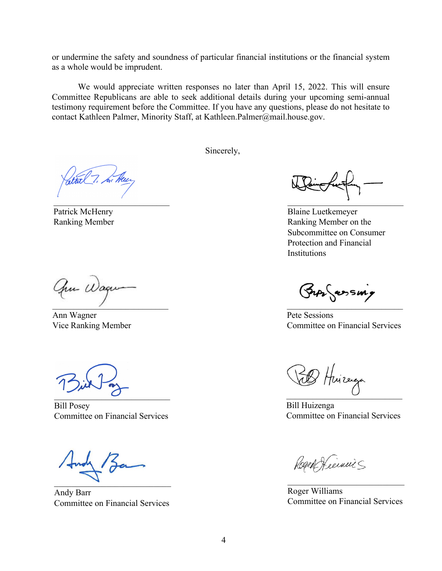or undermine the safety and soundness of particular financial institutions or the financial system as a whole would be imprudent.

We would appreciate written responses no later than April 15, 2022. This will ensure Committee Republicans are able to seek additional details during your upcoming semi-annual testimony requirement before the Committee. If you have any questions, please do not hesitate to contact Kathleen Palmer, Minority Staff, at Kathleen.Palmer@mail.house.gov.

Sincerely,

atul7.  $\mathcal{L}_\text{max}$  , which is a set of the set of the set of the set of the set of the set of the set of the set of the set of the set of the set of the set of the set of the set of the set of the set of the set of the set of

Patrick McHenry Ranking Member

Chu Waqu  $\overline{\phantom{a}}$ 

Ann Wagner Vice Ranking Member

 $\overline{\phantom{a}}$ 

Bill Posey Committee on Financial Services

 $\Box$ 

Andy Barr Committee on Financial Services

 $\overline{a}$ 

Blaine Luetkemeyer Ranking Member on the Subcommittee on Consumer Protection and Financial Institutions

 $\overline{\phantom{a}}$ 

Pete Sessions Committee on Financial Services

Huizerga  $\cup$ 

Bill Huizenga Committee on Financial Services

Rogen Heerwin

Roger Williams Committee on Financial Services

\_\_\_\_\_\_\_\_\_\_\_\_\_\_\_\_\_\_\_\_\_\_\_\_\_\_\_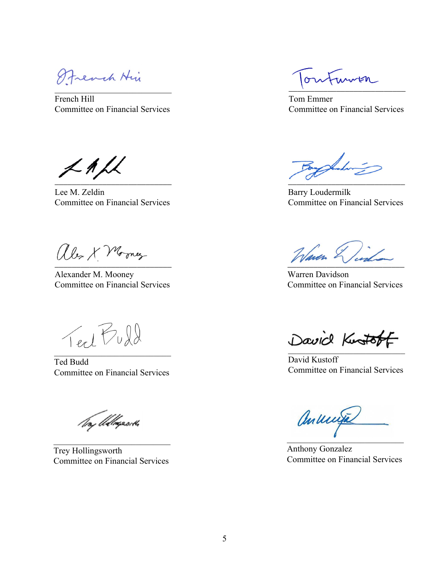Strench Hir  $\mathcal{L} = \{ \mathcal{L} \mid \mathcal{L} \in \mathcal{L} \}$ 

French Hill Committee on Financial Services

 $\n <$  1  $\n <$  $\overline{\phantom{a}}$  ,  $\overline{\phantom{a}}$  ,  $\overline{\phantom{a}}$  ,  $\overline{\phantom{a}}$  ,  $\overline{\phantom{a}}$  ,  $\overline{\phantom{a}}$  ,  $\overline{\phantom{a}}$  ,  $\overline{\phantom{a}}$  ,  $\overline{\phantom{a}}$  ,  $\overline{\phantom{a}}$  ,  $\overline{\phantom{a}}$  ,  $\overline{\phantom{a}}$  ,  $\overline{\phantom{a}}$  ,  $\overline{\phantom{a}}$  ,  $\overline{\phantom{a}}$  ,  $\overline{\phantom{a}}$ 

Lee M. Zeldin Committee on Financial Services

alex X Morney \_\_\_\_\_\_\_\_\_\_\_\_\_\_\_\_\_\_\_\_\_\_\_\_\_\_\_

Alexander M. Mooney Committee on Financial Services

Text Puld  $\mathcal{L}_\text{max}$  , where  $\mathcal{L}_\text{max}$  is the set of the set of the set of the set of the set of the set of the set of the set of the set of the set of the set of the set of the set of the set of the set of the set of the se

Ted Budd Committee on Financial Services

To, Allegasch

Trey Hollingsworth Committee on Financial Services

Funnen  $\sigma v$  $\overline{\mathcal{A}}$  and  $\overline{\mathcal{A}}$  and  $\overline{\mathcal{A}}$  and  $\overline{\mathcal{A}}$  and  $\overline{\mathcal{A}}$  and  $\overline{\mathcal{A}}$ 

Tom Emmer Committee on Financial Services

Ambr \_\_\_\_\_\_\_\_\_\_\_\_\_\_\_\_\_\_\_\_\_\_\_\_\_\_\_

Barry Loudermilk Committee on Financial Services

Waren & 1.

Warren Davidson Committee on Financial Services

 $\mathcal{L}$ 

David Kustoff Committee on Financial Services

anunja  $\blacksquare$ 

Anthony Gonzalez Committee on Financial Services